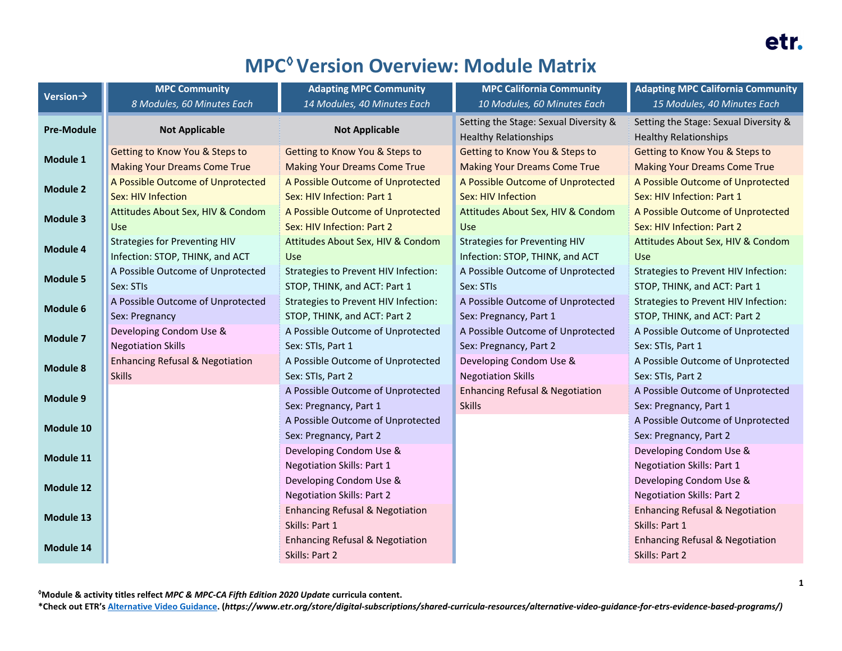# **MPC◊Version Overview: Module Matrix**

| Version $\rightarrow$ | <b>MPC Community</b>                       | <b>Adapting MPC Community</b>               | <b>MPC California Community</b>                                       | <b>Adapting MPC California Community</b>                              |
|-----------------------|--------------------------------------------|---------------------------------------------|-----------------------------------------------------------------------|-----------------------------------------------------------------------|
|                       | 8 Modules, 60 Minutes Each                 | 14 Modules, 40 Minutes Each                 | 10 Modules, 60 Minutes Each                                           | 15 Modules, 40 Minutes Each                                           |
| <b>Pre-Module</b>     | <b>Not Applicable</b>                      | <b>Not Applicable</b>                       | Setting the Stage: Sexual Diversity &<br><b>Healthy Relationships</b> | Setting the Stage: Sexual Diversity &<br><b>Healthy Relationships</b> |
| Module 1              | Getting to Know You & Steps to             | Getting to Know You & Steps to              | Getting to Know You & Steps to                                        | Getting to Know You & Steps to                                        |
|                       | <b>Making Your Dreams Come True</b>        | <b>Making Your Dreams Come True</b>         | <b>Making Your Dreams Come True</b>                                   | <b>Making Your Dreams Come True</b>                                   |
| <b>Module 2</b>       | A Possible Outcome of Unprotected          | A Possible Outcome of Unprotected           | A Possible Outcome of Unprotected                                     | A Possible Outcome of Unprotected                                     |
|                       | Sex: HIV Infection                         | Sex: HIV Infection: Part 1                  | Sex: HIV Infection                                                    | Sex: HIV Infection: Part 1                                            |
| <b>Module 3</b>       | Attitudes About Sex, HIV & Condom          | A Possible Outcome of Unprotected           | Attitudes About Sex, HIV & Condom                                     | A Possible Outcome of Unprotected                                     |
|                       | <b>Use</b>                                 | Sex: HIV Infection: Part 2                  | Use                                                                   | Sex: HIV Infection: Part 2                                            |
| Module 4              | <b>Strategies for Preventing HIV</b>       | Attitudes About Sex, HIV & Condom           | <b>Strategies for Preventing HIV</b>                                  | Attitudes About Sex, HIV & Condom                                     |
|                       | Infection: STOP, THINK, and ACT            | Use                                         | Infection: STOP, THINK, and ACT                                       | <b>Use</b>                                                            |
| <b>Module 5</b>       | A Possible Outcome of Unprotected          | Strategies to Prevent HIV Infection:        | A Possible Outcome of Unprotected                                     | Strategies to Prevent HIV Infection:                                  |
|                       | Sex: STIs                                  | STOP, THINK, and ACT: Part 1                | Sex: STIs                                                             | STOP, THINK, and ACT: Part 1                                          |
| Module 6              | A Possible Outcome of Unprotected          | <b>Strategies to Prevent HIV Infection:</b> | A Possible Outcome of Unprotected                                     | <b>Strategies to Prevent HIV Infection:</b>                           |
|                       | Sex: Pregnancy                             | STOP, THINK, and ACT: Part 2                | Sex: Pregnancy, Part 1                                                | STOP, THINK, and ACT: Part 2                                          |
| <b>Module 7</b>       | Developing Condom Use &                    | A Possible Outcome of Unprotected           | A Possible Outcome of Unprotected                                     | A Possible Outcome of Unprotected                                     |
|                       | <b>Negotiation Skills</b>                  | Sex: STIs, Part 1                           | Sex: Pregnancy, Part 2                                                | Sex: STIs, Part 1                                                     |
| <b>Module 8</b>       | <b>Enhancing Refusal &amp; Negotiation</b> | A Possible Outcome of Unprotected           | Developing Condom Use &                                               | A Possible Outcome of Unprotected                                     |
|                       | <b>Skills</b>                              | Sex: STIs, Part 2                           | <b>Negotiation Skills</b>                                             | Sex: STIs, Part 2                                                     |
| Module 9              |                                            | A Possible Outcome of Unprotected           | <b>Enhancing Refusal &amp; Negotiation</b>                            | A Possible Outcome of Unprotected                                     |
|                       |                                            | Sex: Pregnancy, Part 1                      | <b>Skills</b>                                                         | Sex: Pregnancy, Part 1                                                |
| Module 10             |                                            | A Possible Outcome of Unprotected           |                                                                       | A Possible Outcome of Unprotected                                     |
|                       |                                            | Sex: Pregnancy, Part 2                      |                                                                       | Sex: Pregnancy, Part 2                                                |
| Module 11             |                                            | Developing Condom Use &                     |                                                                       | Developing Condom Use &                                               |
|                       |                                            | <b>Negotiation Skills: Part 1</b>           |                                                                       | <b>Negotiation Skills: Part 1</b>                                     |
| <b>Module 12</b>      |                                            | Developing Condom Use &                     |                                                                       | Developing Condom Use &                                               |
|                       |                                            | <b>Negotiation Skills: Part 2</b>           |                                                                       | <b>Negotiation Skills: Part 2</b>                                     |
| Module 13             |                                            | <b>Enhancing Refusal &amp; Negotiation</b>  |                                                                       | <b>Enhancing Refusal &amp; Negotiation</b>                            |
|                       |                                            | Skills: Part 1                              |                                                                       | Skills: Part 1                                                        |
| Module 14             |                                            | <b>Enhancing Refusal &amp; Negotiation</b>  |                                                                       | <b>Enhancing Refusal &amp; Negotiation</b>                            |
|                       |                                            | Skills: Part 2                              |                                                                       | Skills: Part 2                                                        |

**◊Module & activity titles relfect** *MPC & MPC-CA Fifth Edition 2020 Update* **curricula content.**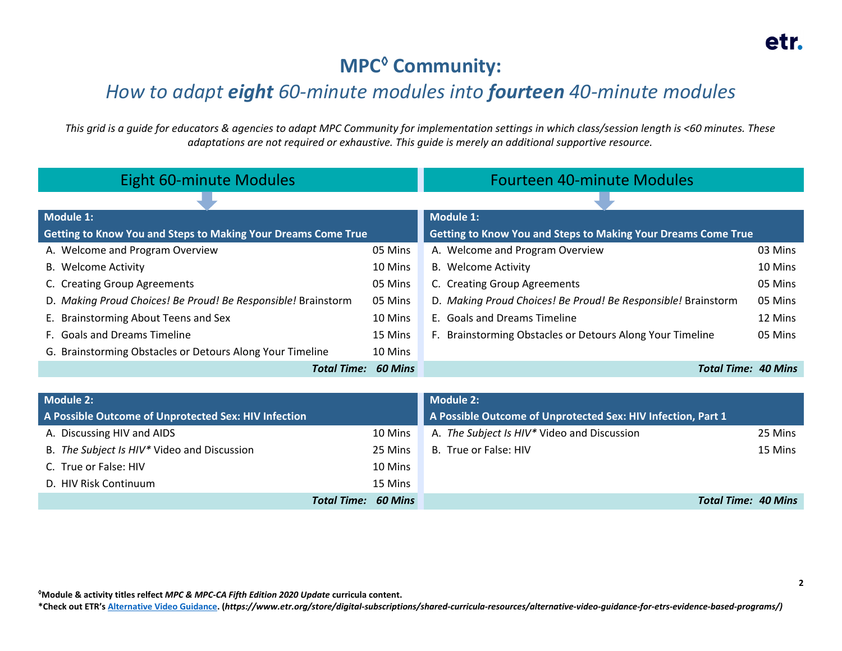## **MPC◊ Community:**

#### *How to adapt eight 60-minute modules into fourteen 40-minute modules*

*This grid is a guide for educators & agencies to adapt MPC Community for implementation settings in which class/session length is <60 minutes. These adaptations are not required or exhaustive. This guide is merely an additional supportive resource.*

| <b>Eight 60-minute Modules</b>                                       |                | <b>Fourteen 40-minute Modules</b>                                    |         |
|----------------------------------------------------------------------|----------------|----------------------------------------------------------------------|---------|
|                                                                      |                |                                                                      |         |
| Module 1:                                                            |                | Module 1:                                                            |         |
| <b>Getting to Know You and Steps to Making Your Dreams Come True</b> |                | <b>Getting to Know You and Steps to Making Your Dreams Come True</b> |         |
| A. Welcome and Program Overview                                      | 05 Mins        | A. Welcome and Program Overview                                      | 03 Mins |
| <b>B.</b> Welcome Activity                                           | 10 Mins        | <b>B.</b> Welcome Activity                                           | 10 Mins |
| C. Creating Group Agreements                                         | 05 Mins        | C. Creating Group Agreements                                         | 05 Mins |
| D. Making Proud Choices! Be Proud! Be Responsible! Brainstorm        | 05 Mins        | D. Making Proud Choices! Be Proud! Be Responsible! Brainstorm        | 05 Mins |
| E. Brainstorming About Teens and Sex                                 | 10 Mins        | E. Goals and Dreams Timeline                                         | 12 Mins |
| F. Goals and Dreams Timeline                                         | 15 Mins        | F. Brainstorming Obstacles or Detours Along Your Timeline            | 05 Mins |
| G. Brainstorming Obstacles or Detours Along Your Timeline            | 10 Mins        |                                                                      |         |
| <b>Total Time:</b>                                                   | <b>60 Mins</b> | <b>Total Time: 40 Mins</b>                                           |         |

| Module 2:                                            |                            | <b>Module 2:</b>                                             |                            |
|------------------------------------------------------|----------------------------|--------------------------------------------------------------|----------------------------|
| A Possible Outcome of Unprotected Sex: HIV Infection |                            | A Possible Outcome of Unprotected Sex: HIV Infection, Part 1 |                            |
| A. Discussing HIV and AIDS                           | 10 Mins                    | A. The Subject Is HIV* Video and Discussion                  | 25 Mins                    |
| B. The Subject Is HIV* Video and Discussion          | 25 Mins                    | B. True or False: HIV                                        | 15 Mins                    |
| C. True or False: HIV                                | 10 Mins                    |                                                              |                            |
| D. HIV Risk Continuum                                | 15 Mins                    |                                                              |                            |
|                                                      | <b>Total Time: 60 Mins</b> |                                                              | <b>Total Time: 40 Mins</b> |

**◊Module & activity titles relfect** *MPC & MPC-CA Fifth Edition 2020 Update* **curricula content.**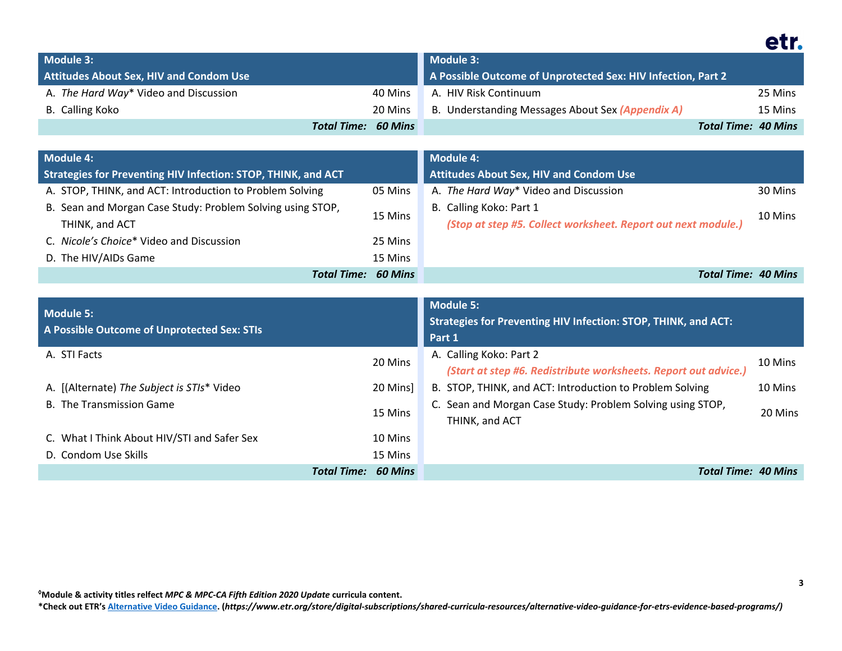| Module 3:                                      |                            | Module 3:                                                    |                            |
|------------------------------------------------|----------------------------|--------------------------------------------------------------|----------------------------|
| <b>Attitudes About Sex, HIV and Condom Use</b> |                            | A Possible Outcome of Unprotected Sex: HIV Infection, Part 2 |                            |
| A. The Hard Way* Video and Discussion          | 40 Mins                    | A. HIV Risk Continuum                                        | 25 Mins                    |
| B. Calling Koko                                | 20 Mins                    | B. Understanding Messages About Sex (Appendix A)             | 15 Mins                    |
|                                                | <b>Total Time: 60 Mins</b> |                                                              | <b>Total Time: 40 Mins</b> |

| <b>Module 4:</b>                                              |         | Module 4:                                                     |         |
|---------------------------------------------------------------|---------|---------------------------------------------------------------|---------|
| Strategies for Preventing HIV Infection: STOP, THINK, and ACT |         | <b>Attitudes About Sex, HIV and Condom Use</b>                |         |
| A. STOP, THINK, and ACT: Introduction to Problem Solving      | 05 Mins | A. The Hard Way* Video and Discussion                         | 30 Mins |
| B. Sean and Morgan Case Study: Problem Solving using STOP,    | 15 Mins | B. Calling Koko: Part 1                                       | 10 Mins |
| THINK, and ACT                                                |         | (Stop at step #5. Collect worksheet. Report out next module.) |         |
| C. Nicole's Choice* Video and Discussion                      | 25 Mins |                                                               |         |
| D. The HIV/AIDs Game                                          | 15 Mins |                                                               |         |
| <b>Total Time: 60 Mins</b>                                    |         | <b>Total Time: 40 Mins</b>                                    |         |

| Module 5:<br>A Possible Outcome of Unprotected Sex: STIs |                                      | <b>Module 5:</b><br><b>Strategies for Preventing HIV Infection: STOP, THINK, and ACT:</b><br>Part 1   |         |
|----------------------------------------------------------|--------------------------------------|-------------------------------------------------------------------------------------------------------|---------|
| A. STI Facts<br>20 Mins                                  |                                      | A. Calling Koko: Part 2<br>10 Mins<br>(Start at step #6. Redistribute worksheets. Report out advice.) |         |
|                                                          |                                      |                                                                                                       |         |
| <b>B.</b> The Transmission Game                          | 15 Mins                              | C. Sean and Morgan Case Study: Problem Solving using STOP,<br>THINK, and ACT                          | 20 Mins |
| C. What I Think About HIV/STI and Safer Sex              | 10 Mins                              |                                                                                                       |         |
| D. Condom Use Skills                                     | 15 Mins                              |                                                                                                       |         |
|                                                          | <b>Total Time:</b><br><b>60 Mins</b> | <b>Total Time: 40 Mins</b>                                                                            |         |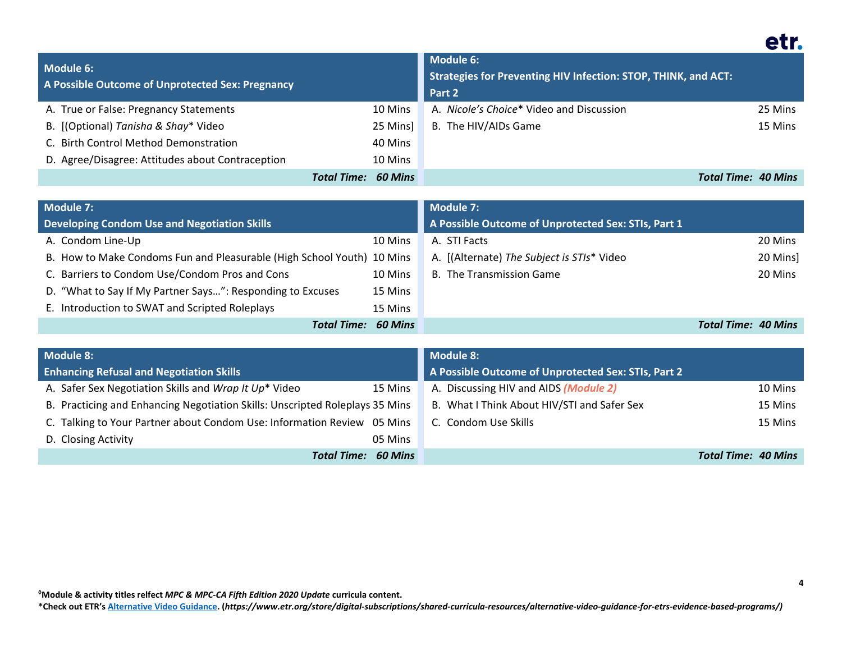| Module 6:<br>A Possible Outcome of Unprotected Sex: Pregnancy |                                      | <b>Module 6:</b><br>Strategies for Preventing HIV Infection: STOP, THINK, and ACT:<br>Part 2 |         |
|---------------------------------------------------------------|--------------------------------------|----------------------------------------------------------------------------------------------|---------|
| A. True or False: Pregnancy Statements                        | 10 Mins                              | A. Nicole's Choice* Video and Discussion                                                     | 25 Mins |
| B. [(Optional) Tanisha & Shay* Video                          | 25 Minsl                             | B. The HIV/AIDs Game                                                                         | 15 Mins |
| C. Birth Control Method Demonstration                         | 40 Mins                              |                                                                                              |         |
| D. Agree/Disagree: Attitudes about Contraception              | 10 Mins                              |                                                                                              |         |
|                                                               | <b>Total Time:</b><br><b>60 Mins</b> | Total Time: 40 Mins                                                                          |         |

| Module 7:                                                              |                | Module 7:                                           |                     |          |
|------------------------------------------------------------------------|----------------|-----------------------------------------------------|---------------------|----------|
| <b>Developing Condom Use and Negotiation Skills</b>                    |                | A Possible Outcome of Unprotected Sex: STIs, Part 1 |                     |          |
| A. Condom Line-Up                                                      | 10 Mins        | A. STI Facts                                        |                     | 20 Mins  |
| B. How to Make Condoms Fun and Pleasurable (High School Youth) 10 Mins |                | A. [(Alternate) The Subject is STIs* Video          |                     | 20 Mins] |
| C. Barriers to Condom Use/Condom Pros and Cons                         | 10 Mins        | <b>B.</b> The Transmission Game                     |                     | 20 Mins  |
| D. "What to Say If My Partner Says": Responding to Excuses             | 15 Mins        |                                                     |                     |          |
| E. Introduction to SWAT and Scripted Roleplays                         | 15 Mins        |                                                     |                     |          |
| Total Time:                                                            | <b>60 Mins</b> |                                                     | Total Time: 40 Mins |          |

| Module 8:                                                                    | <b>Module 8:</b>                                       |
|------------------------------------------------------------------------------|--------------------------------------------------------|
| <b>Enhancing Refusal and Negotiation Skills</b>                              | A Possible Outcome of Unprotected Sex: STIs, Part 2    |
| A. Safer Sex Negotiation Skills and Wrap It Up* Video<br>15 Mins             | A. Discussing HIV and AIDS (Module 2)<br>10 Mins       |
| B. Practicing and Enhancing Negotiation Skills: Unscripted Roleplays 35 Mins | B. What I Think About HIV/STI and Safer Sex<br>15 Mins |
| C. Talking to Your Partner about Condom Use: Information Review 05 Mins      | C. Condom Use Skills<br>15 Mins                        |
| D. Closing Activity<br>05 Mins                                               |                                                        |
| <b>Total Time: 60 Mins</b>                                                   | <b>Total Time: 40 Mins</b>                             |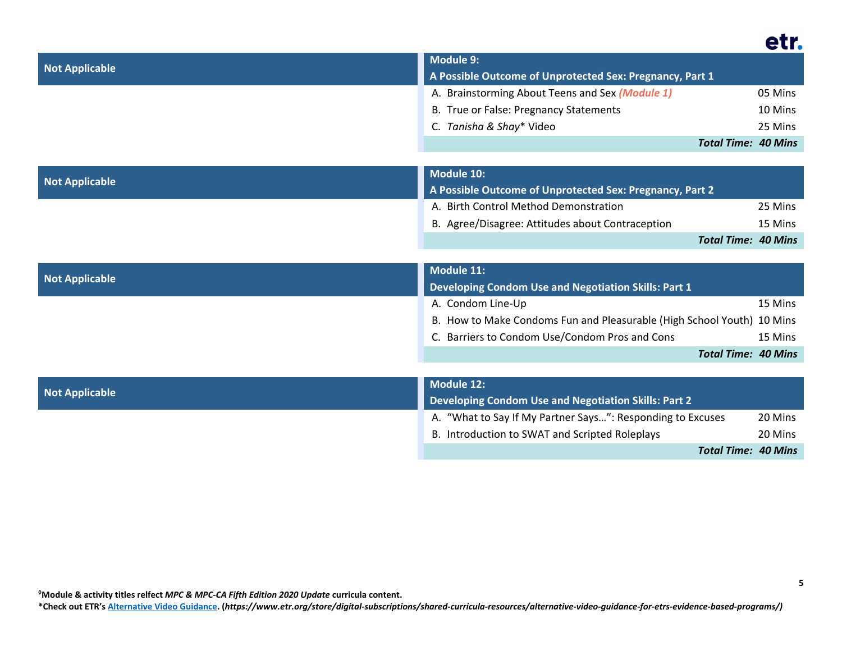|                       | <b>Module 9:</b>                                                       |         |
|-----------------------|------------------------------------------------------------------------|---------|
| <b>Not Applicable</b> | A Possible Outcome of Unprotected Sex: Pregnancy, Part 1               |         |
|                       | A. Brainstorming About Teens and Sex (Module 1)                        | 05 Mins |
|                       | B. True or False: Pregnancy Statements                                 | 10 Mins |
|                       | C. Tanisha & Shay* Video                                               | 25 Mins |
|                       | <b>Total Time: 40 Mins</b>                                             |         |
|                       |                                                                        |         |
| <b>Not Applicable</b> | <b>Module 10:</b>                                                      |         |
|                       | A Possible Outcome of Unprotected Sex: Pregnancy, Part 2               |         |
|                       | A. Birth Control Method Demonstration                                  | 25 Mins |
|                       | B. Agree/Disagree: Attitudes about Contraception                       | 15 Mins |
|                       | <b>Total Time: 40 Mins</b>                                             |         |
|                       |                                                                        |         |
| <b>Not Applicable</b> | <b>Module 11:</b>                                                      |         |
|                       | <b>Developing Condom Use and Negotiation Skills: Part 1</b>            |         |
|                       | A. Condom Line-Up                                                      | 15 Mins |
|                       | B. How to Make Condoms Fun and Pleasurable (High School Youth) 10 Mins |         |
|                       | C. Barriers to Condom Use/Condom Pros and Cons                         | 15 Mins |
|                       | <b>Total Time: 40 Mins</b>                                             |         |
|                       |                                                                        |         |
| <b>Not Applicable</b> | <b>Module 12:</b>                                                      |         |
|                       | <b>Developing Condom Use and Negotiation Skills: Part 2</b>            |         |
|                       | A. "What to Say If My Partner Says": Responding to Excuses             | 20 Mins |
|                       | B. Introduction to SWAT and Scripted Roleplays                         | 20 Mins |
|                       | <b>Total Time: 40 Mins</b>                                             |         |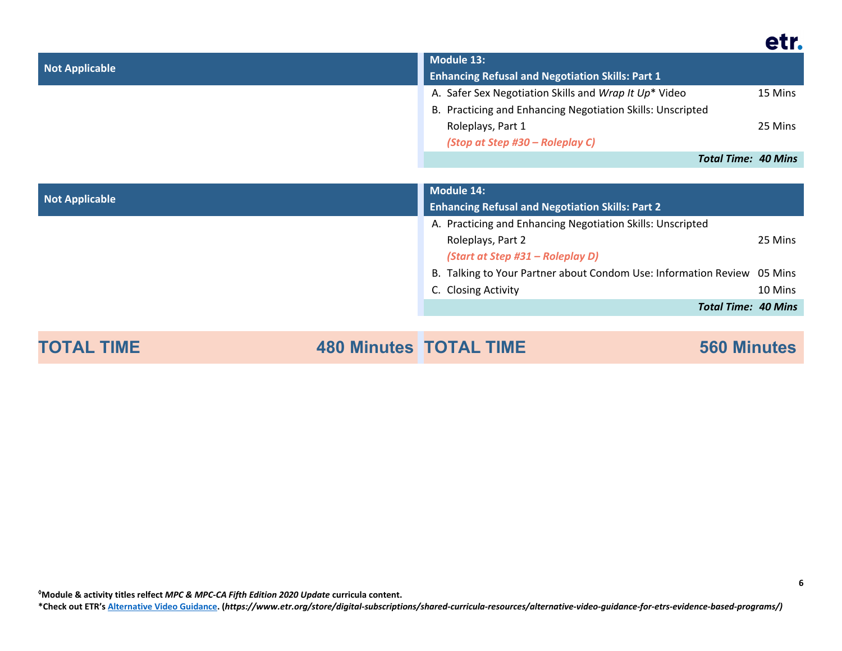| <b>Not Applicable</b> |                           | <b>Module 13:</b>                                               |                            |
|-----------------------|---------------------------|-----------------------------------------------------------------|----------------------------|
|                       |                           | <b>Enhancing Refusal and Negotiation Skills: Part 1</b>         |                            |
|                       |                           | A. Safer Sex Negotiation Skills and Wrap It Up* Video           | 15 Mins                    |
|                       |                           | B. Practicing and Enhancing Negotiation Skills: Unscripted      |                            |
|                       |                           | Roleplays, Part 1                                               | 25 Mins                    |
|                       |                           | (Stop at Step #30 – Roleplay C)                                 |                            |
|                       |                           |                                                                 | <b>Total Time: 40 Mins</b> |
|                       |                           |                                                                 |                            |
| <b>Not Applicable</b> |                           | <b>Module 14:</b>                                               |                            |
|                       |                           | <b>Enhancing Refusal and Negotiation Skills: Part 2</b>         |                            |
|                       |                           | A. Practicing and Enhancing Negotiation Skills: Unscripted      |                            |
|                       |                           | Roleplays, Part 2                                               | 25 Mins                    |
|                       |                           | (Start at Step #31 – Roleplay D)                                |                            |
|                       |                           | B. Talking to Your Partner about Condom Use: Information Review | 05 Mins                    |
|                       |                           | C. Closing Activity                                             | 10 Mins                    |
|                       |                           |                                                                 | <b>Total Time: 40 Mins</b> |
| TIME                  | $AOO$ $M!$ $TQTA$ i $TIM$ | $ECA$ Missaches                                                 |                            |

**TOTAL TIME 480 Minutes TOTAL TIME 560 Minutes**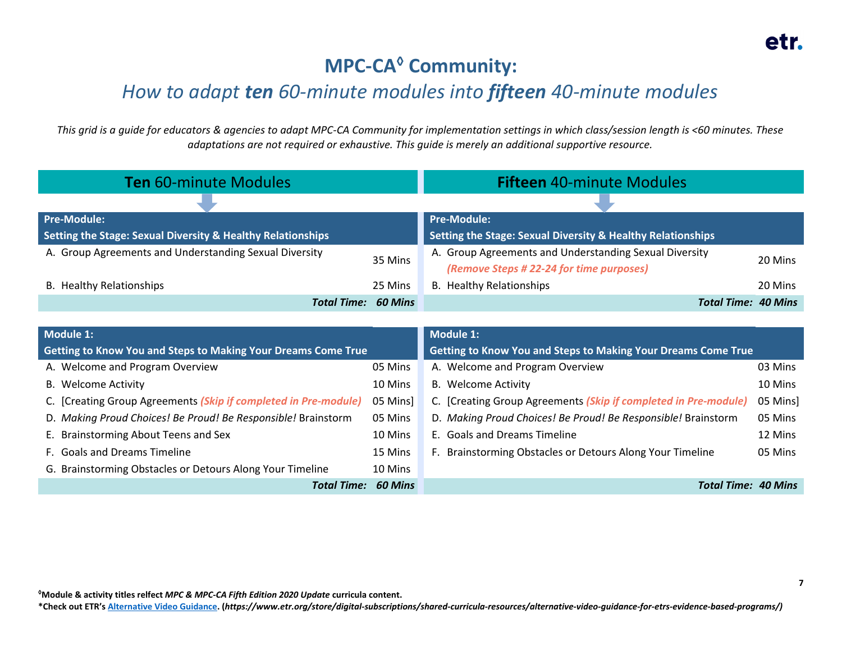## **MPC-CA◊ Community:**

## *How to adapt ten 60-minute modules into fifteen 40-minute modules*

*This grid is a guide for educators & agencies to adapt MPC-CA Community for implementation settings in which class/session length is <60 minutes. These adaptations are not required or exhaustive. This guide is merely an additional supportive resource.*

| Ten 60-minute Modules                                       |                | <b>Fifteen 40-minute Modules</b>                            |         |
|-------------------------------------------------------------|----------------|-------------------------------------------------------------|---------|
|                                                             |                |                                                             |         |
| Pre-Module:                                                 |                | <b>Pre-Module:</b>                                          |         |
| Setting the Stage: Sexual Diversity & Healthy Relationships |                | Setting the Stage: Sexual Diversity & Healthy Relationships |         |
| A. Group Agreements and Understanding Sexual Diversity      | 35 Mins        | A. Group Agreements and Understanding Sexual Diversity      | 20 Mins |
|                                                             |                | (Remove Steps # 22-24 for time purposes)                    |         |
| <b>B.</b> Healthy Relationships                             | 25 Mins        | B. Healthy Relationships                                    | 20 Mins |
| Total Time:                                                 | <b>60 Mins</b> | Total Time: 40 Mins                                         |         |

| Module 1:                                                       |                | <b>Module 1:</b>                                                     |          |
|-----------------------------------------------------------------|----------------|----------------------------------------------------------------------|----------|
| Getting to Know You and Steps to Making Your Dreams Come True   |                | <b>Getting to Know You and Steps to Making Your Dreams Come True</b> |          |
| A. Welcome and Program Overview                                 | 05 Mins        | A. Welcome and Program Overview                                      | 03 Mins  |
| <b>B.</b> Welcome Activity                                      | 10 Mins        | <b>B.</b> Welcome Activity                                           | 10 Mins  |
| C. [Creating Group Agreements (Skip if completed in Pre-module) | 05 Mins]       | C. [Creating Group Agreements (Skip if completed in Pre-module)      | 05 Mins] |
| D. Making Proud Choices! Be Proud! Be Responsible! Brainstorm   | 05 Mins        | D. Making Proud Choices! Be Proud! Be Responsible! Brainstorm        | 05 Mins  |
| E. Brainstorming About Teens and Sex                            | 10 Mins        | E. Goals and Dreams Timeline                                         | 12 Mins  |
| F. Goals and Dreams Timeline                                    | 15 Mins        | F. Brainstorming Obstacles or Detours Along Your Timeline            | 05 Mins  |
| G. Brainstorming Obstacles or Detours Along Your Timeline       | 10 Mins        |                                                                      |          |
| <b>Total Time:</b>                                              | <b>60 Mins</b> | <b>Total Time: 40 Mins</b>                                           |          |

**◊Module & activity titles relfect** *MPC & MPC-CA Fifth Edition 2020 Update* **curricula content.**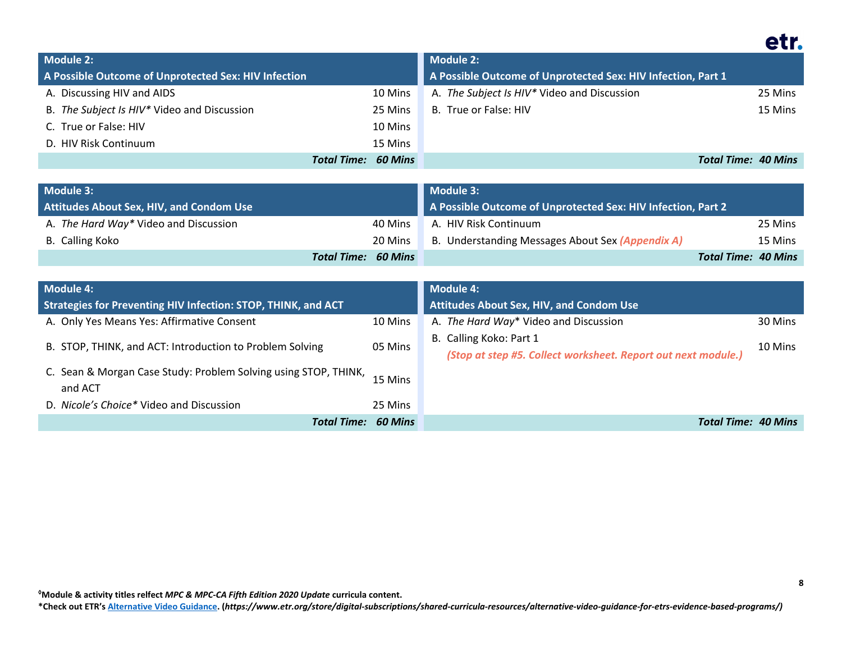| <b>Module 2:</b>                                     |                                      | <b>Module 2:</b>                                             |                            |
|------------------------------------------------------|--------------------------------------|--------------------------------------------------------------|----------------------------|
| A Possible Outcome of Unprotected Sex: HIV Infection |                                      | A Possible Outcome of Unprotected Sex: HIV Infection, Part 1 |                            |
| A. Discussing HIV and AIDS                           | 10 Mins                              | A. The Subject Is HIV* Video and Discussion                  | 25 Mins                    |
| B. The Subject Is HIV* Video and Discussion          | 25 Mins                              | B. True or False: HIV                                        | 15 Mins                    |
| C. True or False: HIV                                | 10 Mins                              |                                                              |                            |
| D. HIV Risk Continuum                                | 15 Mins                              |                                                              |                            |
|                                                      | <b>Total Time: 60 Mins</b>           |                                                              | <b>Total Time: 40 Mins</b> |
|                                                      |                                      |                                                              |                            |
| <b>Module 3:</b>                                     |                                      | <b>Module 3:</b>                                             |                            |
| <b>Attitudes About Sex, HIV, and Condom Use</b>      |                                      | A Possible Outcome of Unprotected Sex: HIV Infection, Part 2 |                            |
| A. The Hard Way* Video and Discussion                | 40 Mins                              | A. HIV Risk Continuum                                        | 25 Mins                    |
| <b>B.</b> Calling Koko                               | 20 Mins                              | B. Understanding Messages About Sex (Appendix A)             | 15 Mins                    |
|                                                      | <b>Total Time:</b><br><b>60 Mins</b> |                                                              | <b>Total Time: 40 Mins</b> |
|                                                      |                                      |                                                              |                            |
| <b>Module 4:</b>                                     |                                      | <b>Module 4:</b>                                             |                            |

| <b>Module 4:</b>                                                           |         | Module 4:                                                                                |         |
|----------------------------------------------------------------------------|---------|------------------------------------------------------------------------------------------|---------|
| <b>Strategies for Preventing HIV Infection: STOP, THINK, and ACT</b>       |         | <b>Attitudes About Sex, HIV, and Condom Use</b>                                          |         |
| A. Only Yes Means Yes: Affirmative Consent                                 | 10 Mins | A. The Hard Way* Video and Discussion                                                    | 30 Mins |
| B. STOP, THINK, and ACT: Introduction to Problem Solving                   | 05 Mins | B. Calling Koko: Part 1<br>(Stop at step #5. Collect worksheet. Report out next module.) | 10 Mins |
| C. Sean & Morgan Case Study: Problem Solving using STOP, THINK,<br>and ACT | 15 Mins |                                                                                          |         |
| D. Nicole's Choice* Video and Discussion                                   | 25 Mins |                                                                                          |         |
| <b>Total Time: 60 Mins</b>                                                 |         | Total Time: 40 Mins                                                                      |         |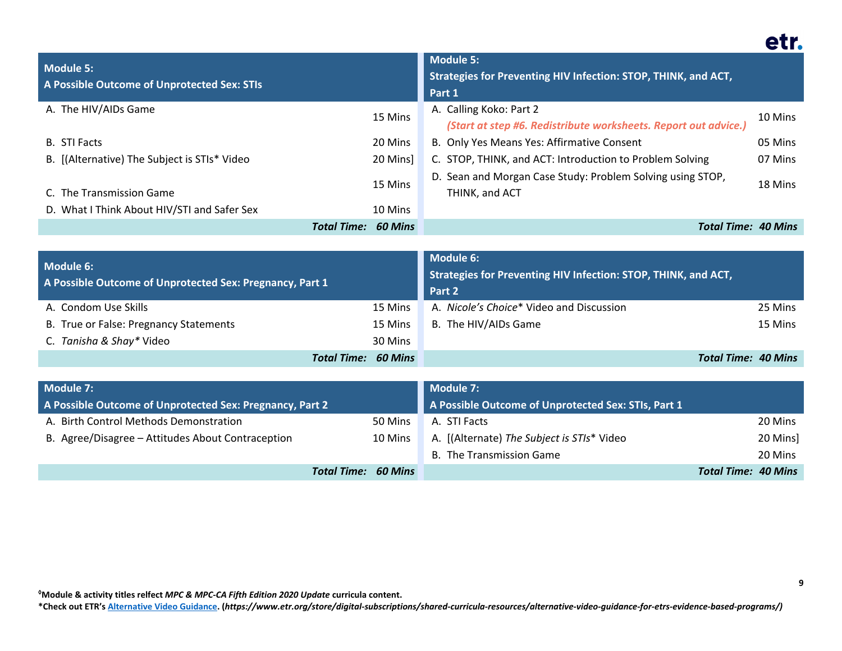| <b>Module 5:</b><br>A Possible Outcome of Unprotected Sex: STIs |                                      | <b>Module 5:</b><br>Strategies for Preventing HIV Infection: STOP, THINK, and ACT,<br>Part 1 |         |
|-----------------------------------------------------------------|--------------------------------------|----------------------------------------------------------------------------------------------|---------|
| A. The HIV/AIDs Game                                            | 15 Mins                              | A. Calling Koko: Part 2<br>(Start at step #6. Redistribute worksheets. Report out advice.)   | 10 Mins |
| <b>B.</b> STI Facts                                             | 20 Mins                              | B. Only Yes Means Yes: Affirmative Consent                                                   | 05 Mins |
| B. [(Alternative) The Subject is STIs* Video                    | 20 Mins                              | C. STOP, THINK, and ACT: Introduction to Problem Solving                                     | 07 Mins |
| C. The Transmission Game                                        | 15 Mins                              | D. Sean and Morgan Case Study: Problem Solving using STOP,<br>THINK, and ACT                 | 18 Mins |
| D. What I Think About HIV/STI and Safer Sex                     | 10 Mins                              |                                                                                              |         |
|                                                                 | <b>Total Time:</b><br><b>60 Mins</b> | <b>Total Time: 40 Mins</b>                                                                   |         |

| Module 6:<br>A Possible Outcome of Unprotected Sex: Pregnancy, Part 1 |                            | <b>Module 6:</b><br>Strategies for Preventing HIV Infection: STOP, THINK, and ACT,<br>Part 2 |                            |
|-----------------------------------------------------------------------|----------------------------|----------------------------------------------------------------------------------------------|----------------------------|
| A. Condom Use Skills                                                  | 15 Mins                    | A. Nicole's Choice* Video and Discussion                                                     | 25 Mins                    |
| B. True or False: Pregnancy Statements                                | 15 Mins                    | B. The HIV/AIDs Game                                                                         | 15 Mins                    |
| C. Tanisha & Shay* Video                                              | 30 Mins                    |                                                                                              |                            |
|                                                                       | <b>Total Time: 60 Mins</b> |                                                                                              | <b>Total Time: 40 Mins</b> |

| Module 7:                                                |                            | Module 7:                                           |                            |
|----------------------------------------------------------|----------------------------|-----------------------------------------------------|----------------------------|
| A Possible Outcome of Unprotected Sex: Pregnancy, Part 2 |                            | A Possible Outcome of Unprotected Sex: STIs, Part 1 |                            |
| A. Birth Control Methods Demonstration                   | 50 Mins                    | A. STI Facts                                        | 20 Mins                    |
| B. Agree/Disagree - Attitudes About Contraception        | 10 Mins                    | A. [(Alternate) The Subject is STIs* Video          | 20 Mins]                   |
|                                                          |                            | B. The Transmission Game                            | 20 Mins                    |
|                                                          | <b>Total Time: 60 Mins</b> |                                                     | <b>Total Time: 40 Mins</b> |

**\*Check out ETR'[s Alternative Video Guidance.](https://www.etr.org/store/digital-subscriptions/shared-curricula-resources/alternative-video-guidance-for-etrs-evidence-based-programs/) (***https://www.etr.org/store/digital-subscriptions/shared-curricula-resources/alternative-video-guidance-for-etrs-evidence-based-programs/)*

etr.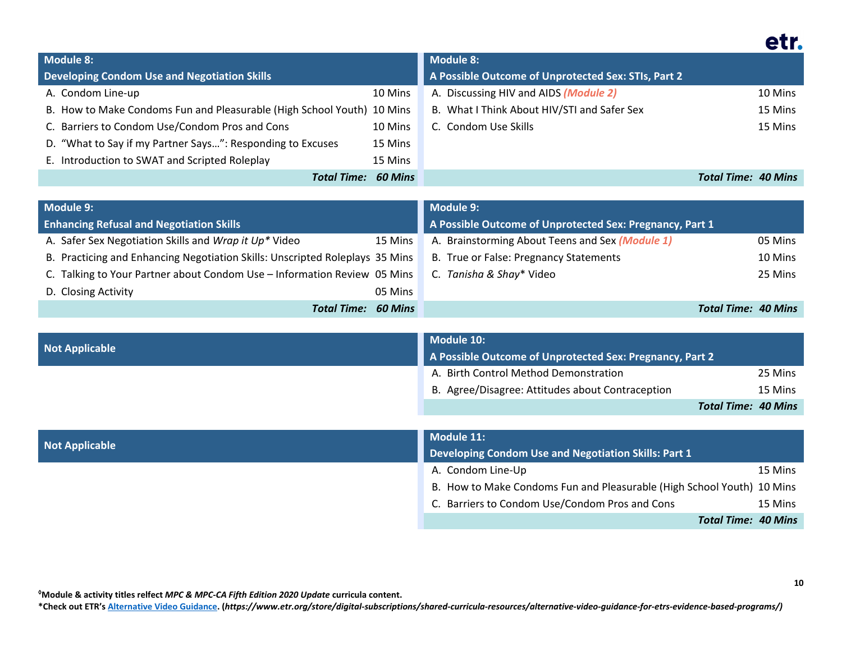|--|

| <b>Module 8:</b>                                                       |                | <b>Module 8:</b>                                    |                     |
|------------------------------------------------------------------------|----------------|-----------------------------------------------------|---------------------|
| <b>Developing Condom Use and Negotiation Skills</b>                    |                | A Possible Outcome of Unprotected Sex: STIs, Part 2 |                     |
| A. Condom Line-up                                                      | 10 Mins        | A. Discussing HIV and AIDS (Module 2)               | 10 Mins             |
| B. How to Make Condoms Fun and Pleasurable (High School Youth) 10 Mins |                | B. What I Think About HIV/STI and Safer Sex         | 15 Mins             |
| C. Barriers to Condom Use/Condom Pros and Cons                         | 10 Mins        | C. Condom Use Skills                                | 15 Mins             |
| D. "What to Say if my Partner Says": Responding to Excuses             | 15 Mins        |                                                     |                     |
| E. Introduction to SWAT and Scripted Roleplay                          | 15 Mins        |                                                     |                     |
| Total Time:                                                            | <b>60 Mins</b> |                                                     | Total Time: 40 Mins |

| <b>Module 9:</b>                                                             | Module 9:                                                  |  |
|------------------------------------------------------------------------------|------------------------------------------------------------|--|
| <b>Enhancing Refusal and Negotiation Skills</b>                              | A Possible Outcome of Unprotected Sex: Pregnancy, Part 1   |  |
| A. Safer Sex Negotiation Skills and Wrap it Up* Video<br>15 Mins             | A. Brainstorming About Teens and Sex (Module 1)<br>05 Mins |  |
| B. Practicing and Enhancing Negotiation Skills: Unscripted Roleplays 35 Mins | B. True or False: Pregnancy Statements<br>10 Mins          |  |
| C. Talking to Your Partner about Condom Use - Information Review 05 Mins     | C. Tanisha & Shay* Video<br>25 Mins                        |  |
| D. Closing Activity<br>05 Mins                                               |                                                            |  |
| <b>Total Time: 60 Mins</b>                                                   | <b>Total Time: 40 Mins</b>                                 |  |

| <b>Not Applicable</b> | Module 10:<br>A Possible Outcome of Unprotected Sex: Pregnancy, Part 2 |                            |
|-----------------------|------------------------------------------------------------------------|----------------------------|
|                       | A. Birth Control Method Demonstration                                  | 25 Mins                    |
|                       | B. Agree/Disagree: Attitudes about Contraception                       | 15 Mins                    |
|                       |                                                                        | <b>Total Time: 40 Mins</b> |
|                       |                                                                        |                            |
|                       | Module 11:                                                             |                            |
|                       | Developing Condom Use and Negotiation Skills: Part 1                   |                            |
|                       | A. Condom Line-Up                                                      | 15 Mins                    |
|                       |                                                                        |                            |

B. How to Make Condoms Fun and Pleasurable (High School Youth) 10 Mins

C. Barriers to Condom Use/Condom Pros and Cons 15 Mins

*Total Time: 40 Mins*

**◊Module & activity titles relfect** *MPC & MPC-CA Fifth Edition 2020 Update* **curricula content.**